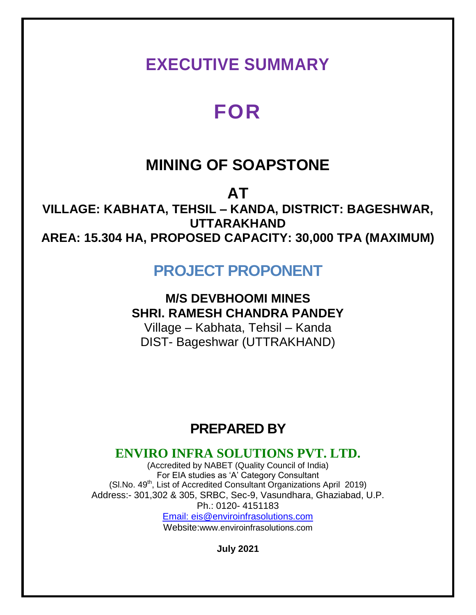## **EXECUTIVE SUMMARY**

# **FOR**

## **MINING OF SOAPSTONE**

**AT**

**VILLAGE: KABHATA, TEHSIL – KANDA, DISTRICT: BAGESHWAR, UTTARAKHAND AREA: 15.304 HA, PROPOSED CAPACITY: 30,000 TPA (MAXIMUM)**

### **PROJECT PROPONENT**

### **M/S DEVBHOOMI MINES SHRI. RAMESH CHANDRA PANDEY**

Village – Kabhata, Tehsil – Kanda DIST- Bageshwar (UTTRAKHAND)

## **PREPARED BY**

### **ENVIRO INFRA SOLUTIONS PVT. LTD.**

(Accredited by NABET (Quality Council of India) For EIA studies as 'A' Category Consultant  $(SI.No. 49<sup>th</sup>, List of Accredicted Consultant Organizations April 2019)$ Address:- 301,302 & 305, SRBC, Sec-9, Vasundhara, Ghaziabad, U.P. Ph.: 0120- 4151183 Email: eis@enviroinfrasolutions.com Website:www.enviroinfrasolutions.com

**July 2021**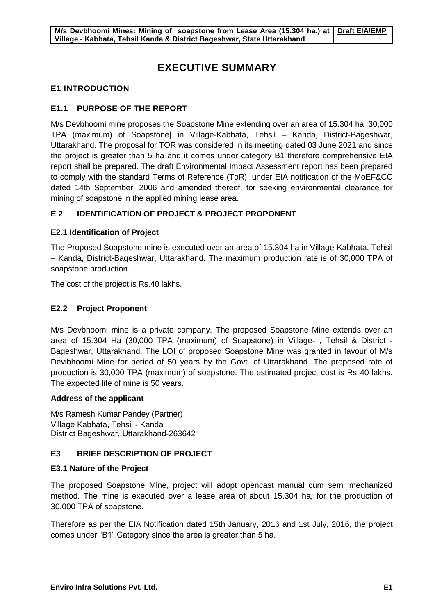### **EXECUTIVE SUMMARY**

#### **E1 INTRODUCTION**

#### **E1.1 PURPOSE OF THE REPORT**

M/s Devbhoomi mine proposes the Soapstone Mine extending over an area of 15.304 ha [30,000 TPA (maximum) of Soapstone] in Village-Kabhata, Tehsil – Kanda, District-Bageshwar, Uttarakhand. The proposal for TOR was considered in its meeting dated 03 June 2021 and since the project is greater than 5 ha and it comes under category B1 therefore comprehensive EIA report shall be prepared. The draft Environmental Impact Assessment report has been prepared to comply with the standard Terms of Reference (ToR), under EIA notification of the MoEF&CC dated 14th September, 2006 and amended thereof, for seeking environmental clearance for mining of soapstone in the applied mining lease area.

#### **E 2 IDENTIFICATION OF PROJECT & PROJECT PROPONENT**

#### **E2.1 Identification of Project**

The Proposed Soapstone mine is executed over an area of 15.304 ha in Village-Kabhata, Tehsil – Kanda, District-Bageshwar, Uttarakhand. The maximum production rate is of 30,000 TPA of soapstone production.

The cost of the project is Rs.40 lakhs.

#### **E2.2 Project Proponent**

M/s Devbhoomi mine is a private company. The proposed Soapstone Mine extends over an area of 15.304 Ha (30,000 TPA (maximum) of Soapstone) in Village- , Tehsil & District - Bageshwar, Uttarakhand. The LOI of proposed Soapstone Mine was granted in favour of M/s Devibhoomi Mine for period of 50 years by the Govt. of Uttarakhand. The proposed rate of production is 30,000 TPA (maximum) of soapstone. The estimated project cost is Rs 40 lakhs. The expected life of mine is 50 years.

#### **Address of the applicant**

M/s Ramesh Kumar Pandey (Partner) Village Kabhata, Tehsil - Kanda District Bageshwar, Uttarakhand-263642

#### **E3 BRIEF DESCRIPTION OF PROJECT**

#### **E3.1 Nature of the Project**

The proposed Soapstone Mine, project will adopt opencast manual cum semi mechanized method. The mine is executed over a lease area of about 15.304 ha, for the production of 30,000 TPA of soapstone.

Therefore as per the EIA Notification dated 15th January, 2016 and 1st July, 2016, the project comes under "B1" Category since the area is greater than 5 ha.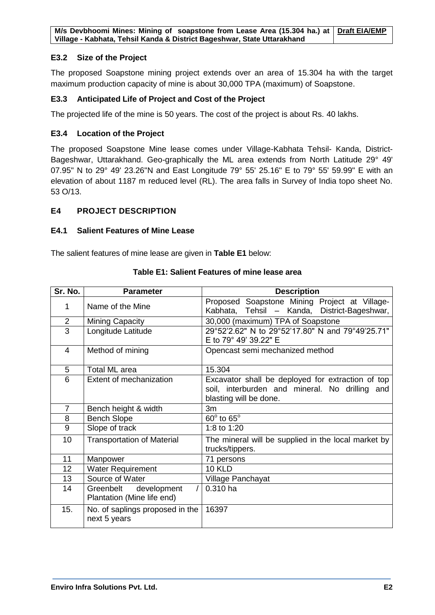#### **E3.2 Size of the Project**

The proposed Soapstone mining project extends over an area of 15.304 ha with the target maximum production capacity of mine is about 30,000 TPA (maximum) of Soapstone.

#### **E3.3 Anticipated Life of Project and Cost of the Project**

The projected life of the mine is 50 years. The cost of the project is about Rs. 40 lakhs.

#### **E3.4 Location of the Project**

The proposed Soapstone Mine lease comes under Village-Kabhata Tehsil- Kanda, District-Bageshwar, Uttarakhand. Geo-graphically the ML area extends from North Latitude 29° 49' 07.95" N to 29° 49' 23.26"N and East Longitude 79° 55' 25.16" E to 79° 55' 59.99" E with an elevation of about 1187 m reduced level (RL). The area falls in Survey of India topo sheet No. 53 O/13.

#### **E4 PROJECT DESCRIPTION**

#### **E4.1 Salient Features of Mine Lease**

The salient features of mine lease are given in **Table E1** below:

| Sr. No.        | <b>Parameter</b>                                       | <b>Description</b>                                                                                                            |
|----------------|--------------------------------------------------------|-------------------------------------------------------------------------------------------------------------------------------|
| 1              | Name of the Mine                                       | Proposed Soapstone Mining Project at Village-<br>Kabhata, Tehsil - Kanda, District-Bageshwar,                                 |
| $\overline{2}$ | <b>Mining Capacity</b>                                 | 30,000 (maximum) TPA of Soapstone                                                                                             |
| $\overline{3}$ | Longitude Latitude                                     | 29°52'2.62" N to 29°52'17.80" N and 79°49'25.71"<br>E to 79° 49' 39.22" E                                                     |
| $\overline{4}$ | Method of mining                                       | Opencast semi mechanized method                                                                                               |
| 5              | <b>Total ML area</b>                                   | 15.304                                                                                                                        |
| 6              | Extent of mechanization                                | Excavator shall be deployed for extraction of top<br>soil, interburden and mineral. No drilling and<br>blasting will be done. |
| $\overline{7}$ | Bench height & width                                   | 3m                                                                                                                            |
| 8              | <b>Bench Slope</b>                                     | $60^\circ$ to $65^\circ$                                                                                                      |
| 9              | Slope of track                                         | 1:8 to 1:20                                                                                                                   |
| 10             | <b>Transportation of Material</b>                      | The mineral will be supplied in the local market by<br>trucks/tippers.                                                        |
| 11             | Manpower                                               | 71 persons                                                                                                                    |
| 12             | <b>Water Requirement</b>                               | <b>10 KLD</b>                                                                                                                 |
| 13             | Source of Water                                        | Village Panchayat                                                                                                             |
| 14             | Greenbelt<br>development<br>Plantation (Mine life end) | 0.310 ha                                                                                                                      |
| 15.            | No. of saplings proposed in the<br>next 5 years        | 16397                                                                                                                         |

#### **Table E1: Salient Features of mine lease area**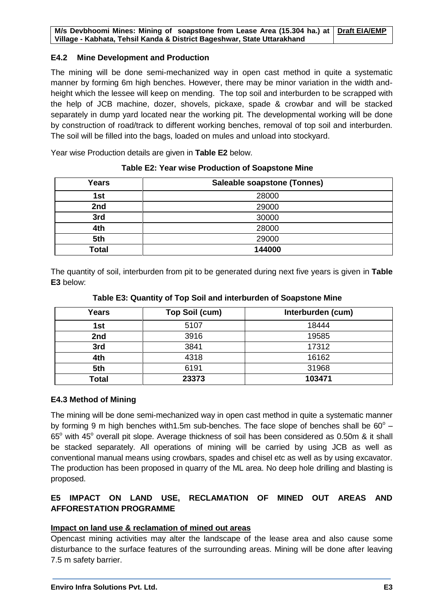#### **E4.2 Mine Development and Production**

The mining will be done semi-mechanized way in open cast method in quite a systematic manner by forming 6m high benches. However, there may be minor variation in the width andheight which the lessee will keep on mending. The top soil and interburden to be scrapped with the help of JCB machine, dozer, shovels, pickaxe, spade & crowbar and will be stacked separately in dump yard located near the working pit. The developmental working will be done by construction of road/track to different working benches, removal of top soil and interburden. The soil will be filled into the bags, loaded on mules and unload into stockyard.

Year wise Production details are given in **Table E2** below.

| Years        | Saleable soapstone (Tonnes) |
|--------------|-----------------------------|
| 1st          | 28000                       |
| 2nd          | 29000                       |
| 3rd          | 30000                       |
| 4th          | 28000                       |
| 5th          | 29000                       |
| <b>Total</b> | 144000                      |

#### **Table E2: Year wise Production of Soapstone Mine**

The quantity of soil, interburden from pit to be generated during next five years is given in **Table E3** below:

| <b>Years</b> | Top Soil (cum) | Interburden (cum) |
|--------------|----------------|-------------------|
| 1st          | 5107           | 18444             |
| 2nd          | 3916           | 19585             |
| 3rd          | 3841           | 17312             |

**4th** 4318 16162 **5th** 6191 31968 **Total 23373 103471**

**Table E3: Quantity of Top Soil and interburden of Soapstone Mine**

#### **E4.3 Method of Mining**

The mining will be done semi-mechanized way in open cast method in quite a systematic manner by forming 9 m high benches with1.5m sub-benches. The face slope of benches shall be  $60^{\circ}$  -65° with 45° overall pit slope. Average thickness of soil has been considered as 0.50m & it shall be stacked separately. All operations of mining will be carried by using JCB as well as conventional manual means using crowbars, spades and chisel etc as well as by using excavator. The production has been proposed in quarry of the ML area. No deep hole drilling and blasting is proposed.

#### **E5 IMPACT ON LAND USE, RECLAMATION OF MINED OUT AREAS AND AFFORESTATION PROGRAMME**

#### **Impact on land use & reclamation of mined out areas**

Opencast mining activities may alter the landscape of the lease area and also cause some disturbance to the surface features of the surrounding areas. Mining will be done after leaving 7.5 m safety barrier.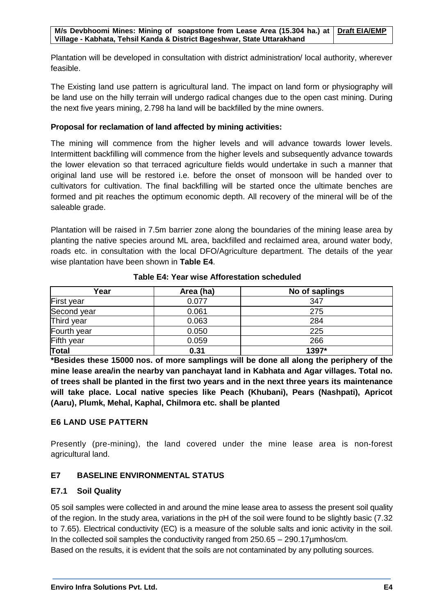Plantation will be developed in consultation with district administration/ local authority, wherever feasible.

The Existing land use pattern is agricultural land. The impact on land form or physiography will be land use on the hilly terrain will undergo radical changes due to the open cast mining. During the next five years mining, 2.798 ha land will be backfilled by the mine owners.

#### **Proposal for reclamation of land affected by mining activities:**

The mining will commence from the higher levels and will advance towards lower levels. Intermittent backfilling will commence from the higher levels and subsequently advance towards the lower elevation so that terraced agriculture fields would undertake in such a manner that original land use will be restored i.e. before the onset of monsoon will be handed over to cultivators for cultivation. The final backfilling will be started once the ultimate benches are formed and pit reaches the optimum economic depth. All recovery of the mineral will be of the saleable grade.

Plantation will be raised in 7.5m barrier zone along the boundaries of the mining lease area by planting the native species around ML area, backfilled and reclaimed area, around water body, roads etc. in consultation with the local DFO/Agriculture department. The details of the year wise plantation have been shown in **Table E4**.

| Year              | Area (ha) | No of saplings |
|-------------------|-----------|----------------|
| <b>First year</b> | 0.077     | 347            |
| Second year       | 0.061     | 275            |
| Third year        | 0.063     | 284            |
| Fourth year       | 0.050     | 225            |
| Fifth year        | 0.059     | 266            |
| Total             | 0.31      | 1397*          |

**Table E4: Year wise Afforestation scheduled**

**\*Besides these 15000 nos. of more samplings will be done all along the periphery of the mine lease area/in the nearby van panchayat land in Kabhata and Agar villages. Total no. of trees shall be planted in the first two years and in the next three years its maintenance will take place. Local native species like Peach (Khubani), Pears (Nashpati), Apricot (Aaru), Plumk, Mehal, Kaphal, Chilmora etc. shall be planted**

#### **E6 LAND USE PATTERN**

Presently (pre-mining), the land covered under the mine lease area is non-forest agricultural land.

#### **E7 BASELINE ENVIRONMENTAL STATUS**

#### **E7.1 Soil Quality**

05 soil samples were collected in and around the mine lease area to assess the present soil quality of the region. In the study area, variations in the pH of the soil were found to be slightly basic (7.32 to 7.65). Electrical conductivity (EC) is a measure of the soluble salts and ionic activity in the soil. In the collected soil samples the conductivity ranged from 250.65 – 290.17µmhos/cm. Based on the results, it is evident that the soils are not contaminated by any polluting sources.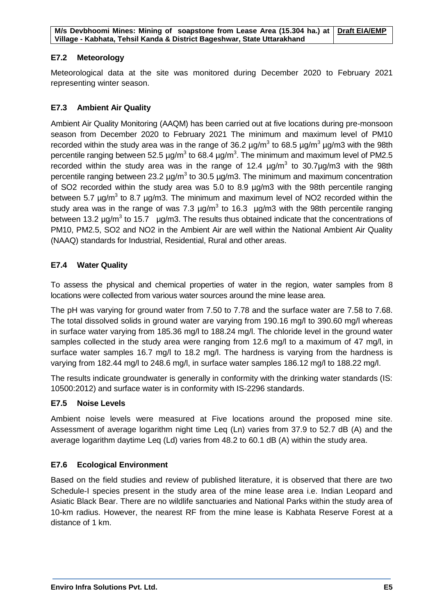#### **E7.2 Meteorology**

Meteorological data at the site was monitored during December 2020 to February 2021 representing winter season.

#### **E7.3 Ambient Air Quality**

Ambient Air Quality Monitoring (AAQM) has been carried out at five locations during pre-monsoon season from December 2020 to February 2021 The minimum and maximum level of PM10 recorded within the study area was in the range of 36.2  $\mu$ g/m<sup>3</sup> to 68.5  $\mu$ g/m<sup>3</sup>  $\mu$ g/m3 with the 98th percentile ranging between 52.5  $\mu$ g/m<sup>3</sup> to 68.4  $\mu$ g/m<sup>3</sup>. The minimum and maximum level of PM2.5 recorded within the study area was in the range of 12.4  $\mu$ g/m<sup>3</sup> to 30.7 $\mu$ g/m3 with the 98th percentile ranging between 23.2  $\mu$ g/m<sup>3</sup> to 30.5  $\mu$ g/m3. The minimum and maximum concentration of SO2 recorded within the study area was 5.0 to 8.9 µg/m3 with the 98th percentile ranging between 5.7  $\mu$ g/m<sup>3</sup> to 8.7  $\mu$ g/m3. The minimum and maximum level of NO2 recorded within the study area was in the range of was 7.3  $\mu$ g/m<sup>3</sup> to 16.3  $\mu$ g/m3 with the 98th percentile ranging between 13.2  $\mu$ g/m<sup>3</sup> to 15.7  $\mu$ g/m3. The results thus obtained indicate that the concentrations of PM10, PM2.5, SO2 and NO2 in the Ambient Air are well within the National Ambient Air Quality (NAAQ) standards for Industrial, Residential, Rural and other areas.

#### **E7.4 Water Quality**

To assess the physical and chemical properties of water in the region, water samples from 8 locations were collected from various water sources around the mine lease area.

The pH was varying for ground water from 7.50 to 7.78 and the surface water are 7.58 to 7.68. The total dissolved solids in ground water are varying from 190.16 mg/l to 390.60 mg/l whereas in surface water varying from 185.36 mg/l to 188.24 mg/l. The chloride level in the ground water samples collected in the study area were ranging from 12.6 mg/l to a maximum of 47 mg/l, in surface water samples 16.7 mg/l to 18.2 mg/l. The hardness is varying from the hardness is varying from 182.44 mg/l to 248.6 mg/l, in surface water samples 186.12 mg/l to 188.22 mg/l.

The results indicate groundwater is generally in conformity with the drinking water standards (IS: 10500:2012) and surface water is in conformity with IS-2296 standards.

#### **E7.5 Noise Levels**

Ambient noise levels were measured at Five locations around the proposed mine site. Assessment of average logarithm night time Leq (Ln) varies from 37.9 to 52.7 dB (A) and the average logarithm daytime Leq (Ld) varies from 48.2 to 60.1 dB (A) within the study area.

#### **E7.6 Ecological Environment**

Based on the field studies and review of published literature, it is observed that there are two Schedule-I species present in the study area of the mine lease area i.e. Indian Leopard and Asiatic Black Bear. There are no wildlife sanctuaries and National Parks within the study area of 10-km radius. However, the nearest RF from the mine lease is Kabhata Reserve Forest at a distance of 1 km.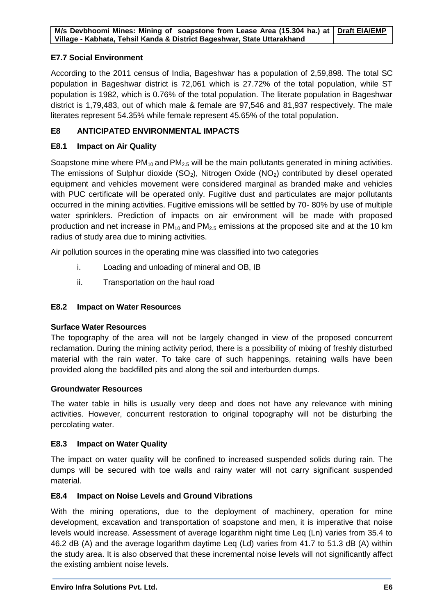#### **E7.7 Social Environment**

According to the 2011 census of India, Bageshwar has a population of 2,59,898. The total SC population in Bageshwar district is 72,061 which is 27.72% of the total population, while ST population is 1982, which is 0.76% of the total population. The literate population in Bageshwar district is 1,79,483, out of which male & female are 97,546 and 81,937 respectively. The male literates represent 54.35% while female represent 45.65% of the total population.

#### **E8 ANTICIPATED ENVIRONMENTAL IMPACTS**

#### **E8.1 Impact on Air Quality**

Soapstone mine where  $PM_{10}$  and  $PM_{2.5}$  will be the main pollutants generated in mining activities. The emissions of Sulphur dioxide  $(SO<sub>2</sub>)$ , Nitrogen Oxide  $(NO<sub>2</sub>)$  contributed by diesel operated equipment and vehicles movement were considered marginal as branded make and vehicles with PUC certificate will be operated only. Fugitive dust and particulates are major pollutants occurred in the mining activities. Fugitive emissions will be settled by 70- 80% by use of multiple water sprinklers. Prediction of impacts on air environment will be made with proposed production and net increase in  $PM_{10}$  and  $PM_{2.5}$  emissions at the proposed site and at the 10 km radius of study area due to mining activities.

Air pollution sources in the operating mine was classified into two categories

- i. Loading and unloading of mineral and OB, IB
- ii. Transportation on the haul road

#### **E8.2 Impact on Water Resources**

#### **Surface Water Resources**

The topography of the area will not be largely changed in view of the proposed concurrent reclamation. During the mining activity period, there is a possibility of mixing of freshly disturbed material with the rain water. To take care of such happenings, retaining walls have been provided along the backfilled pits and along the soil and interburden dumps.

#### **Groundwater Resources**

The water table in hills is usually very deep and does not have any relevance with mining activities. However, concurrent restoration to original topography will not be disturbing the percolating water.

#### **E8.3 Impact on Water Quality**

The impact on water quality will be confined to increased suspended solids during rain. The dumps will be secured with toe walls and rainy water will not carry significant suspended material.

#### **E8.4 Impact on Noise Levels and Ground Vibrations**

With the mining operations, due to the deployment of machinery, operation for mine development, excavation and transportation of soapstone and men, it is imperative that noise levels would increase. Assessment of average logarithm night time Leq (Ln) varies from 35.4 to 46.2 dB (A) and the average logarithm daytime Leq (Ld) varies from 41.7 to 51.3 dB (A) within the study area. It is also observed that these incremental noise levels will not significantly affect the existing ambient noise levels.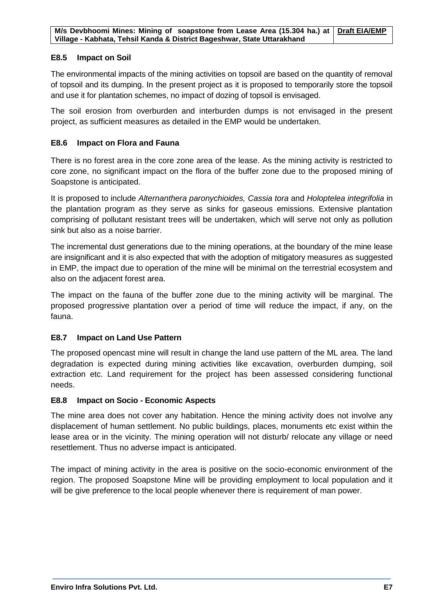#### **E8.5 Impact on Soil**

The environmental impacts of the mining activities on topsoil are based on the quantity of removal of topsoil and its dumping. In the present project as it is proposed to temporarily store the topsoil and use it for plantation schemes, no impact of dozing of topsoil is envisaged.

The soil erosion from overburden and interburden dumps is not envisaged in the present project, as sufficient measures as detailed in the EMP would be undertaken.

#### **E8.6 Impact on Flora and Fauna**

There is no forest area in the core zone area of the lease. As the mining activity is restricted to core zone, no significant impact on the flora of the buffer zone due to the proposed mining of Soapstone is anticipated.

It is proposed to include *Alternanthera paronychioides, Cassia tora* and *Holoptelea integrifolia* in the plantation program as they serve as sinks for gaseous emissions. Extensive plantation comprising of pollutant resistant trees will be undertaken, which will serve not only as pollution sink but also as a noise barrier.

The incremental dust generations due to the mining operations, at the boundary of the mine lease are insignificant and it is also expected that with the adoption of mitigatory measures as suggested in EMP, the impact due to operation of the mine will be minimal on the terrestrial ecosystem and also on the adjacent forest area.

The impact on the fauna of the buffer zone due to the mining activity will be marginal. The proposed progressive plantation over a period of time will reduce the impact, if any, on the fauna.

#### **E8.7 Impact on Land Use Pattern**

The proposed opencast mine will result in change the land use pattern of the ML area. The land degradation is expected during mining activities like excavation, overburden dumping, soil extraction etc. Land requirement for the project has been assessed considering functional needs.

#### **E8.8 Impact on Socio - Economic Aspects**

The mine area does not cover any habitation. Hence the mining activity does not involve any displacement of human settlement. No public buildings, places, monuments etc exist within the lease area or in the vicinity. The mining operation will not disturb/ relocate any village or need resettlement. Thus no adverse impact is anticipated.

The impact of mining activity in the area is positive on the socio-economic environment of the region. The proposed Soapstone Mine will be providing employment to local population and it will be give preference to the local people whenever there is requirement of man power.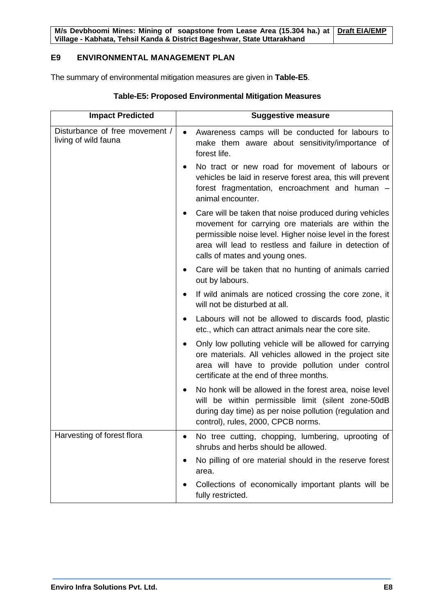#### **E9 ENVIRONMENTAL MANAGEMENT PLAN**

The summary of environmental mitigation measures are given in **Table-E5**.

| <b>Impact Predicted</b>                                | <b>Suggestive measure</b>                                                                                                                                                                                                                                                          |
|--------------------------------------------------------|------------------------------------------------------------------------------------------------------------------------------------------------------------------------------------------------------------------------------------------------------------------------------------|
| Disturbance of free movement /<br>living of wild fauna | Awareness camps will be conducted for labours to<br>$\bullet$<br>make them aware about sensitivity/importance of<br>forest life.                                                                                                                                                   |
|                                                        | No tract or new road for movement of labours or<br>vehicles be laid in reserve forest area, this will prevent<br>forest fragmentation, encroachment and human -<br>animal encounter.                                                                                               |
|                                                        | Care will be taken that noise produced during vehicles<br>$\bullet$<br>movement for carrying ore materials are within the<br>permissible noise level. Higher noise level in the forest<br>area will lead to restless and failure in detection of<br>calls of mates and young ones. |
|                                                        | Care will be taken that no hunting of animals carried<br>out by labours.                                                                                                                                                                                                           |
|                                                        | If wild animals are noticed crossing the core zone, it<br>will not be disturbed at all.                                                                                                                                                                                            |
|                                                        | Labours will not be allowed to discards food, plastic<br>etc., which can attract animals near the core site.                                                                                                                                                                       |
|                                                        | Only low polluting vehicle will be allowed for carrying<br>ore materials. All vehicles allowed in the project site<br>area will have to provide pollution under control<br>certificate at the end of three months.                                                                 |
|                                                        | No honk will be allowed in the forest area, noise level<br>will be within permissible limit (silent zone-50dB<br>during day time) as per noise pollution (regulation and<br>control), rules, 2000, CPCB norms.                                                                     |
| Harvesting of forest flora                             | No tree cutting, chopping, lumbering, uprooting of<br>shrubs and herbs should be allowed.                                                                                                                                                                                          |
|                                                        | No pilling of ore material should in the reserve forest<br>area.                                                                                                                                                                                                                   |
|                                                        | Collections of economically important plants will be<br>fully restricted.                                                                                                                                                                                                          |

#### **Table-E5: Proposed Environmental Mitigation Measures**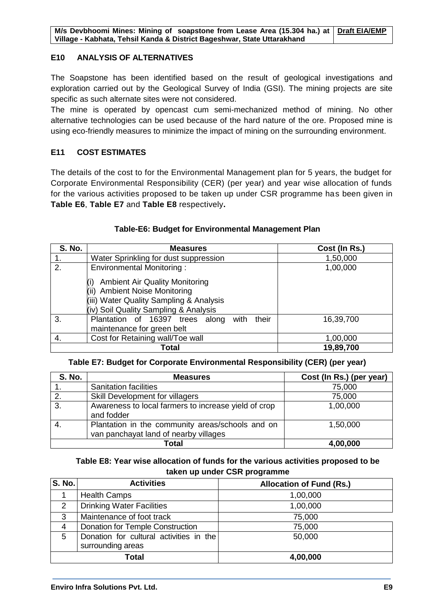#### **E10 ANALYSIS OF ALTERNATIVES**

The Soapstone has been identified based on the result of geological investigations and exploration carried out by the Geological Survey of India (GSI). The mining projects are site specific as such alternate sites were not considered.

The mine is operated by opencast cum semi-mechanized method of mining. No other alternative technologies can be used because of the hard nature of the ore. Proposed mine is using eco-friendly measures to minimize the impact of mining on the surrounding environment.

#### **E11 COST ESTIMATES**

The details of the cost to for the Environmental Management plan for 5 years, the budget for Corporate Environmental Responsibility (CER) (per year) and year wise allocation of funds for the various activities proposed to be taken up under CSR programme has been given in **Table E6**, **Table E7** and **Table E8** respectively**.**

#### **S. No. Measures Cost (In Rs.)** 1. Water Sprinkling for dust suppression 1,50,000 2. Environmental Monitoring : (i) Ambient Air Quality Monitoring (ii) Ambient Noise Monitoring (iii) Water Quality Sampling & Analysis (iv) Soil Quality Sampling & Analysis 1,00,000 3. Plantation of 16397 trees along with their maintenance for green belt 16,39,700 4. Cost for Retaining wall/Toe wall 1,00,000 **Total 19,89,700**

#### **Table-E6: Budget for Environmental Management Plan**

#### **Table E7: Budget for Corporate Environmental Responsibility (CER) (per year)**

| <b>S. No.</b> | <b>Measures</b>                                                                           | Cost (In Rs.) (per year) |
|---------------|-------------------------------------------------------------------------------------------|--------------------------|
|               | <b>Sanitation facilities</b>                                                              | 75,000                   |
| 2.            | Skill Development for villagers                                                           | 75,000                   |
| 3.            | Awareness to local farmers to increase yield of crop<br>and fodder                        | 1,00,000                 |
|               | Plantation in the community areas/schools and on<br>van panchayat land of nearby villages | 1,50,000                 |
|               | Total                                                                                     | 4,00,000                 |

**Table E8: Year wise allocation of funds for the various activities proposed to be taken up under CSR programme**

| <b>S. No.</b>  | <b>Activities</b>                                            | <b>Allocation of Fund (Rs.)</b> |
|----------------|--------------------------------------------------------------|---------------------------------|
|                | <b>Health Camps</b>                                          | 1,00,000                        |
| 2              | <b>Drinking Water Facilities</b>                             | 1,00,000                        |
| 3              | Maintenance of foot track                                    | 75,000                          |
| $\overline{4}$ | Donation for Temple Construction                             | 75,000                          |
| 5              | Donation for cultural activities in the<br>surrounding areas | 50,000                          |
| Total          |                                                              | 4,00,000                        |